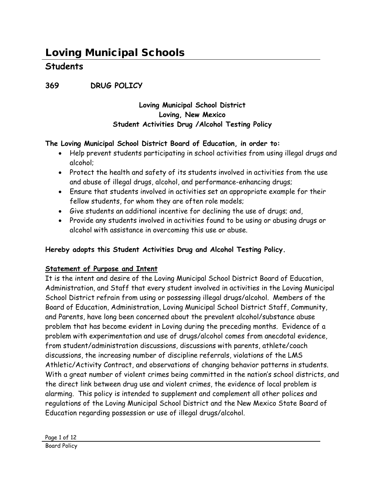**369 DRUG POLICY**

#### **Loving Municipal School District Loving, New Mexico Student Activities Drug /Alcohol Testing Policy**

#### **The Loving Municipal School District Board of Education, in order to:**

- Help prevent students participating in school activities from using illegal drugs and alcohol;
- Protect the health and safety of its students involved in activities from the use and abuse of illegal drugs, alcohol, and performance-enhancing drugs;
- Ensure that students involved in activities set an appropriate example for their fellow students, for whom they are often role models;
- Give students an additional incentive for declining the use of drugs; and,
- Provide any students involved in activities found to be using or abusing drugs or alcohol with assistance in overcoming this use or abuse.

#### **Hereby adopts this Student Activities Drug and Alcohol Testing Policy.**

#### **Statement of Purpose and Intent**

It is the intent and desire of the Loving Municipal School District Board of Education, Administration, and Staff that every student involved in activities in the Loving Municipal School District refrain from using or possessing illegal drugs/alcohol. Members of the Board of Education, Administration, Loving Municipal School District Staff, Community, and Parents, have long been concerned about the prevalent alcohol/substance abuse problem that has become evident in Loving during the preceding months. Evidence of a problem with experimentation and use of drugs/alcohol comes from anecdotal evidence, from student/administration discussions, discussions with parents, athlete/coach discussions, the increasing number of discipline referrals, violations of the LMS Athletic/Activity Contract, and observations of changing behavior patterns in students. With a great number of violent crimes being committed in the nation's school districts, and the direct link between drug use and violent crimes, the evidence of local problem is alarming. This policy is intended to supplement and complement all other polices and regulations of the Loving Municipal School District and the New Mexico State Board of Education regarding possession or use of illegal drugs/alcohol.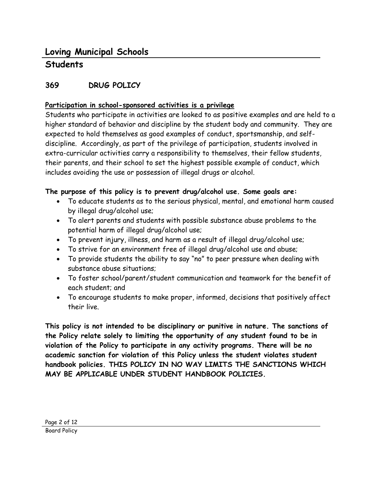# **Students**

### **369 DRUG POLICY**

#### **Participation in school-sponsored activities is a privilege**

Students who participate in activities are looked to as positive examples and are held to a higher standard of behavior and discipline by the student body and community. They are expected to hold themselves as good examples of conduct, sportsmanship, and selfdiscipline. Accordingly, as part of the privilege of participation, students involved in extra-curricular activities carry a responsibility to themselves, their fellow students, their parents, and their school to set the highest possible example of conduct, which includes avoiding the use or possession of illegal drugs or alcohol.

#### **The purpose of this policy is to prevent drug/alcohol use. Some goals are:**

- To educate students as to the serious physical, mental, and emotional harm caused by illegal drug/alcohol use;
- To alert parents and students with possible substance abuse problems to the potential harm of illegal drug/alcohol use;
- To prevent injury, illness, and harm as a result of illegal drug/alcohol use;
- To strive for an environment free of illegal drug/alcohol use and abuse;
- To provide students the ability to say "no" to peer pressure when dealing with substance abuse situations;
- To foster school/parent/student communication and teamwork for the benefit of each student; and
- To encourage students to make proper, informed, decisions that positively affect their live.

**This policy is not intended to be disciplinary or punitive in nature. The sanctions of the Policy relate solely to limiting the opportunity of any student found to be in violation of the Policy to participate in any activity programs. There will be no academic sanction for violation of this Policy unless the student violates student handbook policies. THIS POLICY IN NO WAY LIMITS THE SANCTIONS WHICH MAY BE APPLICABLE UNDER STUDENT HANDBOOK POLICIES.**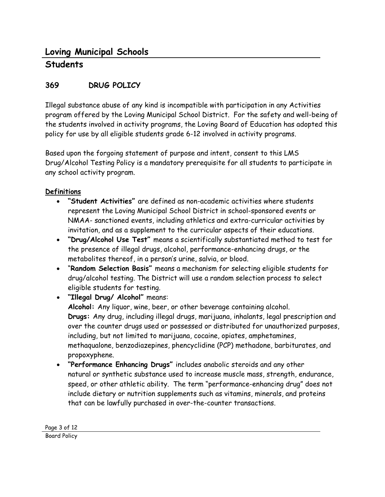# **369 DRUG POLICY**

Illegal substance abuse of any kind is incompatible with participation in any Activities program offered by the Loving Municipal School District. For the safety and well-being of the students involved in activity programs, the Loving Board of Education has adopted this policy for use by all eligible students grade 6-12 involved in activity programs.

Based upon the forgoing statement of purpose and intent, consent to this LMS Drug/Alcohol Testing Policy is a mandatory prerequisite for all students to participate in any school activity program.

#### **Definitions**

- **"Student Activities"** are defined as non-academic activities where students represent the Loving Municipal School District in school-sponsored events or NMAA- sanctioned events, including athletics and extra-curricular activities by invitation, and as a supplement to the curricular aspects of their educations.
- **"Drug/Alcohol Use Test"** means a scientifically substantiated method to test for the presence of illegal drugs, alcohol, performance-enhancing drugs, or the metabolites thereof, in a person's urine, salvia, or blood.
- "**Random Selection Basis"** means a mechanism for selecting eligible students for drug/alcohol testing. The District will use a random selection process to select eligible students for testing.
- **"Illegal Drug/ Alcohol"** means: **Alcohol:** Any liquor, wine, beer, or other beverage containing alcohol. **Drugs:** Any drug, including illegal drugs, marijuana, inhalants, legal prescription and over the counter drugs used or possessed or distributed for unauthorized purposes, including, but not limited to marijuana, cocaine, opiates, amphetamines, methaqualone, benzodiazepines, phencyclidine (PCP) methadone, barbiturates, and propoxyphene.
- **"Performance Enhancing Drugs"** includes anabolic steroids and any other natural or synthetic substance used to increase muscle mass, strength, endurance, speed, or other athletic ability. The term "performance-enhancing drug" does not include dietary or nutrition supplements such as vitamins, minerals, and proteins that can be lawfully purchased in over-the-counter transactions.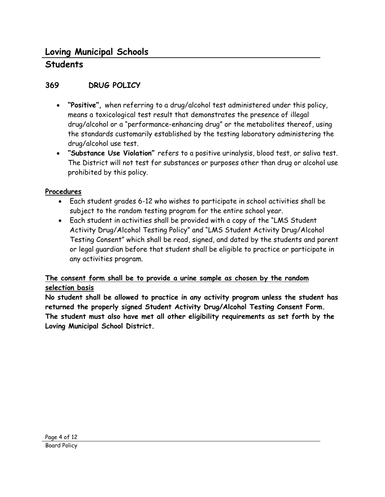# **Students**

### **369 DRUG POLICY**

- **"Positive",** when referring to a drug/alcohol test administered under this policy, means a toxicological test result that demonstrates the presence of illegal drug/alcohol or a "performance-enhancing drug" or the metabolites thereof, using the standards customarily established by the testing laboratory administering the drug/alcohol use test.
- **"Substance Use Violation"** refers to a positive urinalysis, blood test, or saliva test. The District will not test for substances or purposes other than drug or alcohol use prohibited by this policy.

#### **Procedures**

- Each student grades 6-12 who wishes to participate in school activities shall be subject to the random testing program for the entire school year.
- Each student in activities shall be provided with a copy of the "LMS Student Activity Drug/Alcohol Testing Policy" and "LMS Student Activity Drug/Alcohol Testing Consent" which shall be read, signed, and dated by the students and parent or legal guardian before that student shall be eligible to practice or participate in any activities program.

#### **The consent form shall be to provide a urine sample as chosen by the random selection basis**

**No student shall be allowed to practice in any activity program unless the student has returned the properly signed Student Activity Drug/Alcohol Testing Consent Form. The student must also have met all other eligibility requirements as set forth by the Loving Municipal School District.**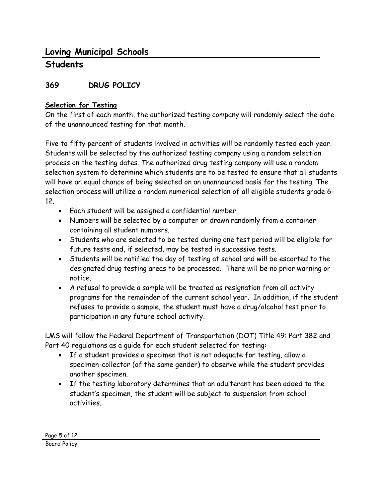# **Students**

### **369 DRUG POLICY**

#### **Selection for Testing**

On the first of each month, the authorized testing company will randomly select the date of the unannounced testing for that month.

Five to fifty percent of students involved in activities will be randomly tested each year. Students will be selected by the authorized testing company using a random selection process on the testing dates. The authorized drug testing company will use a random selection system to determine which students are to be tested to ensure that all students will have an equal chance of being selected on an unannounced basis for the testing. The selection process will utilize a random numerical selection of all eligible students grade 6- 12.

- Each student will be assigned a confidential number.
- Numbers will be selected by a computer or drawn randomly from a container containing all student numbers.
- Students who are selected to be tested during one test period will be eligible for future tests and, if selected, may be tested in successive tests.
- Students will be notified the day of testing at school and will be escorted to the designated drug testing areas to be processed. There will be no prior warning or notice.
- A refusal to provide a sample will be treated as resignation from all activity programs for the remainder of the current school year. In addition, if the student refuses to provide a sample, the student must have a drug/alcohol test prior to participation in any future school activity.

LMS will follow the Federal Department of Transportation (DOT) Title 49: Part 382 and Part 40 regulations as a guide for each student selected for testing:

- If a student provides a specimen that is not adequate for testing, allow a specimen-collector (of the same gender) to observe while the student provides another specimen.
- If the testing laboratory determines that an adulterant has been added to the student's specimen, the student will be subject to suspension from school activities.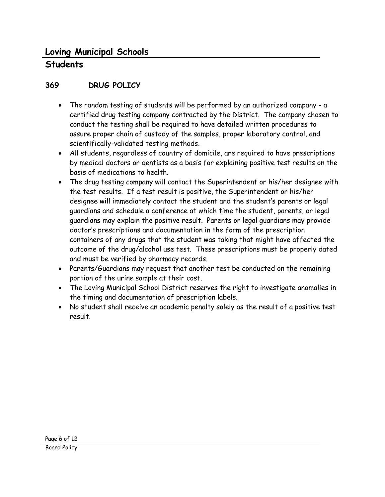# **Students**

# **369 DRUG POLICY**

- The random testing of students will be performed by an authorized company a certified drug testing company contracted by the District. The company chosen to conduct the testing shall be required to have detailed written procedures to assure proper chain of custody of the samples, proper laboratory control, and scientifically-validated testing methods.
- All students, regardless of country of domicile, are required to have prescriptions by medical doctors or dentists as a basis for explaining positive test results on the basis of medications to health.
- The drug testing company will contact the Superintendent or his/her designee with the test results. If a test result is positive, the Superintendent or his/her designee will immediately contact the student and the student's parents or legal guardians and schedule a conference at which time the student, parents, or legal guardians may explain the positive result. Parents or legal guardians may provide doctor's prescriptions and documentation in the form of the prescription containers of any drugs that the student was taking that might have affected the outcome of the drug/alcohol use test. These prescriptions must be properly dated and must be verified by pharmacy records.
- Parents/Guardians may request that another test be conducted on the remaining portion of the urine sample at their cost.
- The Loving Municipal School District reserves the right to investigate anomalies in the timing and documentation of prescription labels.
- No student shall receive an academic penalty solely as the result of a positive test result.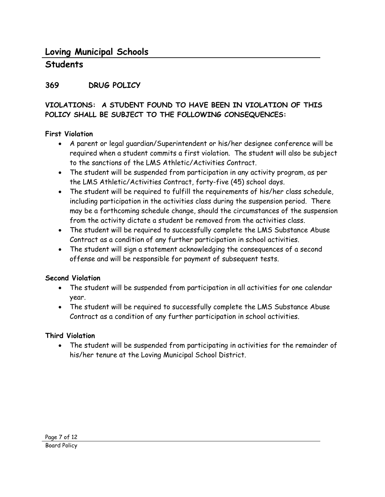# **Students**

### **369 DRUG POLICY**

#### **VIOLATIONS: A STUDENT FOUND TO HAVE BEEN IN VIOLATION OF THIS POLICY SHALL BE SUBJECT TO THE FOLLOWING CONSEQUENCES:**

#### **First Violation**

- A parent or legal guardian/Superintendent or his/her designee conference will be required when a student commits a first violation. The student will also be subject to the sanctions of the LMS Athletic/Activities Contract.
- The student will be suspended from participation in any activity program, as per the LMS Athletic/Activities Contract, forty-five (45) school days.
- The student will be required to fulfill the requirements of his/her class schedule, including participation in the activities class during the suspension period. There may be a forthcoming schedule change, should the circumstances of the suspension from the activity dictate a student be removed from the activities class.
- The student will be required to successfully complete the LMS Substance Abuse Contract as a condition of any further participation in school activities.
- The student will sign a statement acknowledging the consequences of a second offense and will be responsible for payment of subsequent tests.

#### **Second Violation**

- The student will be suspended from participation in all activities for one calendar year.
- The student will be required to successfully complete the LMS Substance Abuse Contract as a condition of any further participation in school activities.

#### **Third Violation**

• The student will be suspended from participating in activities for the remainder of his/her tenure at the Loving Municipal School District.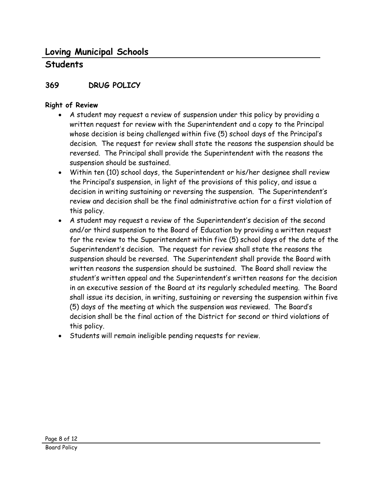# **Students**

# **369 DRUG POLICY**

### **Right of Review**

- A student may request a review of suspension under this policy by providing a written request for review with the Superintendent and a copy to the Principal whose decision is being challenged within five (5) school days of the Principal's decision. The request for review shall state the reasons the suspension should be reversed. The Principal shall provide the Superintendent with the reasons the suspension should be sustained.
- Within ten (10) school days, the Superintendent or his/her designee shall review the Principal's suspension, in light of the provisions of this policy, and issue a decision in writing sustaining or reversing the suspension. The Superintendent's review and decision shall be the final administrative action for a first violation of this policy.
- A student may request a review of the Superintendent's decision of the second and/or third suspension to the Board of Education by providing a written request for the review to the Superintendent within five (5) school days of the date of the Superintendent's decision. The request for review shall state the reasons the suspension should be reversed. The Superintendent shall provide the Board with written reasons the suspension should be sustained. The Board shall review the student's written appeal and the Superintendent's written reasons for the decision in an executive session of the Board at its regularly scheduled meeting. The Board shall issue its decision, in writing, sustaining or reversing the suspension within five (5) days of the meeting at which the suspension was reviewed. The Board's decision shall be the final action of the District for second or third violations of this policy.
- Students will remain ineligible pending requests for review.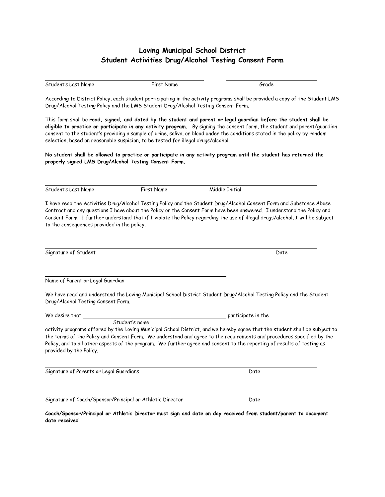#### **Loving Municipal School District Student Activities Drug/Alcohol Testing Consent Form**

| Student's Last Name                                                                                                                                                                                                                                                                                                                                                                                                                                                | First Name     | Grade                                                                                                                                                                                                                                                                                                                                                                           |  |  |  |  |  |
|--------------------------------------------------------------------------------------------------------------------------------------------------------------------------------------------------------------------------------------------------------------------------------------------------------------------------------------------------------------------------------------------------------------------------------------------------------------------|----------------|---------------------------------------------------------------------------------------------------------------------------------------------------------------------------------------------------------------------------------------------------------------------------------------------------------------------------------------------------------------------------------|--|--|--|--|--|
| According to District Policy, each student participating in the activity programs shall be provided a copy of the Student LMS<br>Drug/Alcohol Testing Policy and the LMS Student Drug/Alcohol Testing Consent Form.                                                                                                                                                                                                                                                |                |                                                                                                                                                                                                                                                                                                                                                                                 |  |  |  |  |  |
| This form shall be read, signed, and dated by the student and parent or legal guardian before the student shall be<br>eligible to practice or participate in any activity program. By signing the consent form, the student and parent/guardian<br>consent to the student's providing a sample of urine, saliva, or blood under the conditions stated in the policy by random<br>selection, based on reasonable suspicion, to be tested for illegal drugs/alcohol. |                |                                                                                                                                                                                                                                                                                                                                                                                 |  |  |  |  |  |
| properly signed LMS Drug/Alcohol Testing Consent Form.                                                                                                                                                                                                                                                                                                                                                                                                             |                | No student shall be allowed to practice or participate in any activity program until the student has returned the                                                                                                                                                                                                                                                               |  |  |  |  |  |
| Student's Last Name                                                                                                                                                                                                                                                                                                                                                                                                                                                | First Name     | Middle Initial                                                                                                                                                                                                                                                                                                                                                                  |  |  |  |  |  |
| to the consequences provided in the policy.                                                                                                                                                                                                                                                                                                                                                                                                                        |                | I have read the Activities Drug/Alcohol Testing Policy and the Student Drug/Alcohol Consent Form and Substance Abuse<br>Contract and any questions I have about the Policy or the Consent Form have been answered. I understand the Policy and<br>Consent Form. I further understand that if I violate the Policy regarding the use of illegal drugs/alcohol, I will be subject |  |  |  |  |  |
| Signature of Student                                                                                                                                                                                                                                                                                                                                                                                                                                               |                | Date                                                                                                                                                                                                                                                                                                                                                                            |  |  |  |  |  |
| Name of Parent or Legal Guardian                                                                                                                                                                                                                                                                                                                                                                                                                                   |                |                                                                                                                                                                                                                                                                                                                                                                                 |  |  |  |  |  |
| Drug/Alcohol Testing Consent Form.                                                                                                                                                                                                                                                                                                                                                                                                                                 |                | We have read and understand the Loving Municipal School District Student Drug/Alcohol Testing Policy and the Student                                                                                                                                                                                                                                                            |  |  |  |  |  |
| We desire that                                                                                                                                                                                                                                                                                                                                                                                                                                                     |                | participate in the                                                                                                                                                                                                                                                                                                                                                              |  |  |  |  |  |
| provided by the Policy.                                                                                                                                                                                                                                                                                                                                                                                                                                            | Student's name | activity programs offered by the Loving Municipal School District, and we hereby agree that the student shall be subject to<br>the terms of the Policy and Consent Form. We understand and agree to the requirements and procedures specified by the<br>Policy, and to all other aspects of the program. We further agree and consent to the reporting of results of testing as |  |  |  |  |  |
| Signature of Parents or Legal Guardians                                                                                                                                                                                                                                                                                                                                                                                                                            |                | Date                                                                                                                                                                                                                                                                                                                                                                            |  |  |  |  |  |
| Signature of Coach/Sponsor/Principal or Athletic Director                                                                                                                                                                                                                                                                                                                                                                                                          |                | Date                                                                                                                                                                                                                                                                                                                                                                            |  |  |  |  |  |

**Coach/Sponsor/Principal or Athletic Director must sign and date on day received from student/parent to document date received**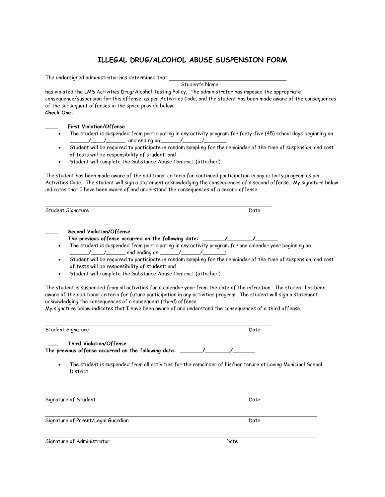#### **ILLEGAL DRUG/ALCOHOL ABUSE SUSPENSION FORM**

The undersigned administrator has determined that

Student's Name

has violated the LMS Activities Drug/Alcohol Testing Policy. The administrator has imposed the appropriate consequence/suspension for this offense, as per Activities Code, and the student has been made aware of the consequences of the subsequent offenses in the space provide below. **Check One:**

#### \_\_\_\_ **First Violation/Offense**

- The student is suspended from participating in any activity program for forty-five (45) school days beginning on \_\_\_\_\_\_\_/\_\_\_\_\_/\_\_\_\_\_\_\_\_\_\_\_ and ending on \_\_\_\_\_\_\_\_/\_\_\_\_\_\_\_\_\_\_\_\_;
- Student will be required to participate in random sampling for the remainder of the time of suspension, and cost of tests will be responsibility of student; and
- Student will complete the Substance Abuse Contract (attached).

The student has been made aware of the additional criteria for continued participation in any activity program as per Activities Code. The student will sign a statement acknowledging the consequences of a second offense. My signature below indicates that I have been aware of and understand the consequences of a second offense.

| Student Signature                                                                                                                                                                                                                                                                                     | Date                                                                                                                                                                                                                                                                                                                                                                                                                                                                                                                                                                                         |  |
|-------------------------------------------------------------------------------------------------------------------------------------------------------------------------------------------------------------------------------------------------------------------------------------------------------|----------------------------------------------------------------------------------------------------------------------------------------------------------------------------------------------------------------------------------------------------------------------------------------------------------------------------------------------------------------------------------------------------------------------------------------------------------------------------------------------------------------------------------------------------------------------------------------------|--|
| Second Violation/Offense<br>The previous offense occurred on the following date: _______/_________/__________<br>of tests will be responsibility of student; and<br>Student will complete the Substance Abuse Contract (attached).<br>acknowledging the consequences of a subsequent (third) offense. | The student is suspended from participating in any activity program for one calendar year beginning on<br>Student will be required to participate in random sampling for the remainder of the time of suspension, and cost<br>The student is suspended from all activities for a calendar year from the date of the infraction. The student has been<br>aware of the additional criteria for future participation in any activities program. The student will sign a statement<br>My signature below indicates that I have been aware of and understand the consequences of a third offense. |  |
| Student Signature                                                                                                                                                                                                                                                                                     | Date                                                                                                                                                                                                                                                                                                                                                                                                                                                                                                                                                                                         |  |
| <b>Third Violation/Offense</b><br>The previous offense occurred on the following date: _______/_____<br>District.                                                                                                                                                                                     | The student is suspended from all activities for the remainder of his/her tenure at Loving Municipal School                                                                                                                                                                                                                                                                                                                                                                                                                                                                                  |  |
| Signature of Student                                                                                                                                                                                                                                                                                  | Date                                                                                                                                                                                                                                                                                                                                                                                                                                                                                                                                                                                         |  |
| Signature of Parent/Legal Guardian                                                                                                                                                                                                                                                                    | Date                                                                                                                                                                                                                                                                                                                                                                                                                                                                                                                                                                                         |  |
| Signature of Administrator                                                                                                                                                                                                                                                                            | Date                                                                                                                                                                                                                                                                                                                                                                                                                                                                                                                                                                                         |  |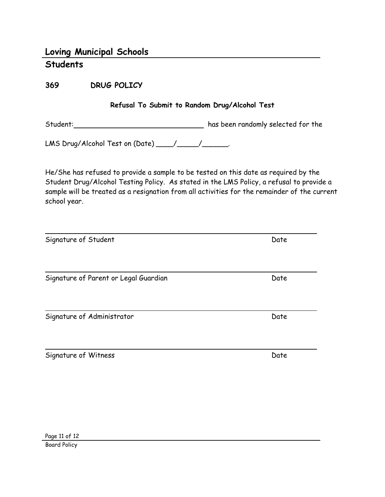**369 DRUG POLICY**

#### **Refusal To Submit to Random Drug/Alcohol Test**

Student: Student: Student: has been randomly selected for the

LMS Drug/Alcohol Test on (Date) \_\_\_\_/\_\_\_\_\_/\_\_\_\_\_\_\_.

He/She has refused to provide a sample to be tested on this date as required by the Student Drug/Alcohol Testing Policy. As stated in the LMS Policy, a refusal to provide a sample will be treated as a resignation from all activities for the remainder of the current school year.

| Signature of Student                  | Date |  |
|---------------------------------------|------|--|
|                                       |      |  |
| Signature of Parent or Legal Guardian | Date |  |
| Signature of Administrator            | Date |  |

Signature of Witness Date Communications and Date Date